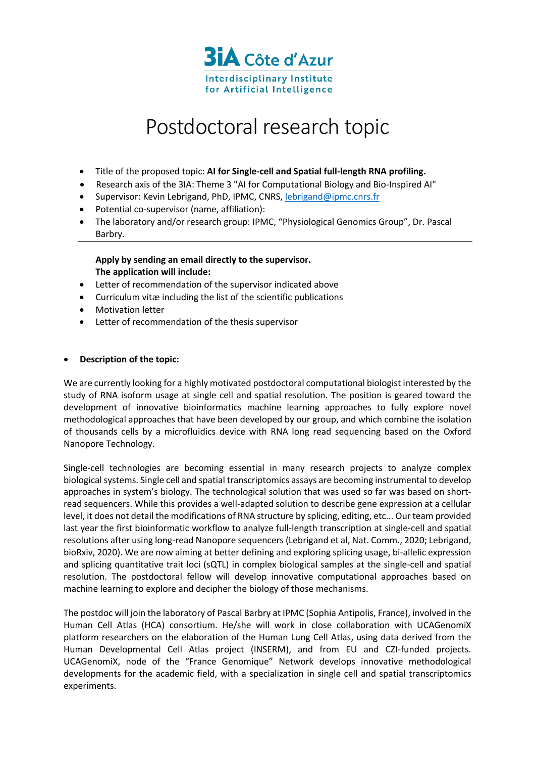

## Postdoctoral research topic

- Title of the proposed topic: **AI for Single-cell and Spatial full-length RNA profiling.**
- Research axis of the 3IA: Theme 3 "AI for Computational Biology and Bio-Inspired AI"
- Supervisor: Kevin Lebrigand, PhD, IPMC, CNRS, lebrigand@ipmc.cnrs.fr
- Potential co-supervisor (name, affiliation):
- The laboratory and/or research group: IPMC, "Physiological Genomics Group", Dr. Pascal Barbry.

## **Apply by sending an email directly to the supervisor. The application will include:**

- Letter of recommendation of the supervisor indicated above
- Curriculum vitæ including the list of the scientific publications
- Motivation letter
- Letter of recommendation of the thesis supervisor

## • **Description of the topic:**

We are currently looking for a highly motivated postdoctoral computational biologist interested by the study of RNA isoform usage at single cell and spatial resolution. The position is geared toward the development of innovative bioinformatics machine learning approaches to fully explore novel methodological approaches that have been developed by our group, and which combine the isolation of thousands cells by a microfluidics device with RNA long read sequencing based on the Oxford Nanopore Technology.

Single-cell technologies are becoming essential in many research projects to analyze complex biological systems. Single cell and spatial transcriptomics assays are becoming instrumental to develop approaches in system's biology. The technological solution that was used so far was based on shortread sequencers. While this provides a well-adapted solution to describe gene expression at a cellular level, it does not detail the modifications of RNA structure by splicing, editing, etc... Our team provided last year the first bioinformatic workflow to analyze full-length transcription at single-cell and spatial resolutions after using long-read Nanopore sequencers (Lebrigand et al, Nat. Comm., 2020; Lebrigand, bioRxiv, 2020). We are now aiming at better defining and exploring splicing usage, bi-allelic expression and splicing quantitative trait loci (sQTL) in complex biological samples at the single-cell and spatial resolution. The postdoctoral fellow will develop innovative computational approaches based on machine learning to explore and decipher the biology of those mechanisms.

The postdoc will join the laboratory of Pascal Barbry at IPMC (Sophia Antipolis, France), involved in the Human Cell Atlas (HCA) consortium. He/she will work in close collaboration with UCAGenomiX platform researchers on the elaboration of the Human Lung Cell Atlas, using data derived from the Human Developmental Cell Atlas project (INSERM), and from EU and CZI-funded projects. UCAGenomiX, node of the "France Genomique" Network develops innovative methodological developments for the academic field, with a specialization in single cell and spatial transcriptomics experiments.